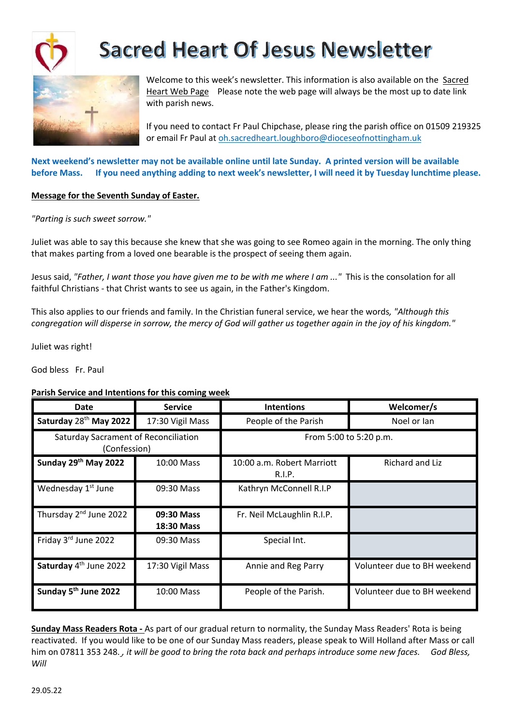

# **Sacred Heart Of Jesus Newsletter**



Welcome to this week's newsletter. This information is also available on the Sacred Heart Web Page Please note the web page will always be the most up to date link with parish news.

If you need to contact Fr Paul Chipchase, please ring the parish office on 01509 219325 or email Fr Paul at oh.sacredheart.loughboro@dioceseofnottingham.uk

**Next weekend's newsletter may not be available online until late Sunday. A printed version will be available before Mass. If you need anything adding to next week's newsletter, I will need it by Tuesday lunchtime please.**

### **Message for the Seventh Sunday of Easter.**

*"Parting is such sweet sorrow."*

Juliet was able to say this because she knew that she was going to see Romeo again in the morning. The only thing that makes parting from a loved one bearable is the prospect of seeing them again.

Jesus said, *"Father, I want those you have given me to be with me where I am ..."* This is the consolation for all faithful Christians - that Christ wants to see us again, in the Father's Kingdom.

This also applies to our friends and family. In the Christian funeral service, we hear the words*, "Although this congregation will disperse in sorrow, the mercy of God will gather us together again in the joy of his kingdom."*

Juliet was right!

God bless Fr. Paul

### **Parish Service and Intentions for this coming week**

| <b>Date</b>                                                 | <b>Service</b>                  | <b>Intentions</b>                    | Welcomer/s                  |
|-------------------------------------------------------------|---------------------------------|--------------------------------------|-----------------------------|
| Saturday 28 <sup>th</sup> May 2022                          | 17:30 Vigil Mass                | People of the Parish                 | Noel or lan                 |
| <b>Saturday Sacrament of Reconciliation</b><br>(Confession) |                                 | From 5:00 to 5:20 p.m.               |                             |
| Sunday 29th May 2022                                        | 10:00 Mass                      | 10:00 a.m. Robert Marriott<br>R.I.P. | Richard and Liz             |
| Wednesday 1 <sup>st</sup> June                              | 09:30 Mass                      | Kathryn McConnell R.I.P              |                             |
| Thursday 2 <sup>nd</sup> June 2022                          | 09:30 Mass<br><b>18:30 Mass</b> | Fr. Neil McLaughlin R.I.P.           |                             |
| Friday 3rd June 2022                                        | 09:30 Mass                      | Special Int.                         |                             |
| Saturday 4 <sup>th</sup> June 2022                          | 17:30 Vigil Mass                | Annie and Reg Parry                  | Volunteer due to BH weekend |
| Sunday 5 <sup>th</sup> June 2022                            | 10:00 Mass                      | People of the Parish.                | Volunteer due to BH weekend |

**Sunday Mass Readers Rota -** As part of our gradual return to normality, the Sunday Mass Readers' Rota is being reactivated. If you would like to be one of our Sunday Mass readers, please speak to Will Holland after Mass or call him on 07811 353 248., it will be good to bring the rota back and perhaps introduce some new faces. God Bless, *Will*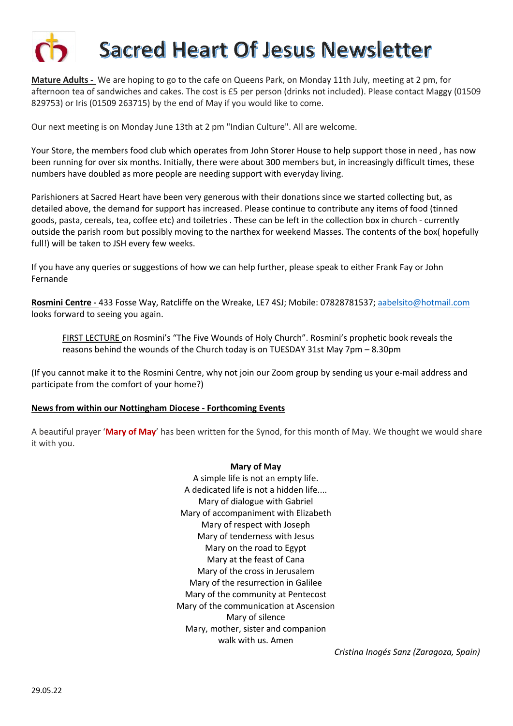

**Mature Adults -** We are hoping to go to the cafe on Queens Park, on Monday 11th July, meeting at 2 pm, for afternoon tea of sandwiches and cakes. The cost is £5 per person (drinks not included). Please contact Maggy (01509 829753) or Iris (01509 263715) by the end of May if you would like to come.

Our next meeting is on Monday June 13th at 2 pm "Indian Culture". All are welcome.

Your Store, the members food club which operates from John Storer House to help support those in need , has now been running for over six months. Initially, there were about 300 members but, in increasingly difficult times, these numbers have doubled as more people are needing support with everyday living.

Parishioners at Sacred Heart have been very generous with their donations since we started collecting but, as detailed above, the demand for support has increased. Please continue to contribute any items of food (tinned goods, pasta, cereals, tea, coffee etc) and toiletries . These can be left in the collection box in church - currently outside the parish room but possibly moving to the narthex for weekend Masses. The contents of the box( hopefully full!) will be taken to JSH every few weeks.

If you have any queries or suggestions of how we can help further, please speak to either Frank Fay or John Fernande

**Rosmini Centre -** 433 Fosse Way, Ratcliffe on the Wreake, LE7 4SJ; Mobile: 07828781537; aabelsito@hotmail.com looks forward to seeing you again.

FIRST LECTURE on Rosmini's "The Five Wounds of Holy Church". Rosmini's prophetic book reveals the reasons behind the wounds of the Church today is on TUESDAY 31st May 7pm – 8.30pm

(If you cannot make it to the Rosmini Centre, why not join our Zoom group by sending us your e-mail address and participate from the comfort of your home?)

### **News from within our Nottingham Diocese - Forthcoming Events**

A beautiful prayer '**Mary of May**' has been written for the Synod, for this month of May. We thought we would share it with you.

### **Mary of May**

A simple life is not an empty life. A dedicated life is not a hidden life.... Mary of dialogue with Gabriel Mary of accompaniment with Elizabeth Mary of respect with Joseph Mary of tenderness with Jesus Mary on the road to Egypt Mary at the feast of Cana Mary of the cross in Jerusalem Mary of the resurrection in Galilee Mary of the community at Pentecost Mary of the communication at Ascension Mary of silence Mary, mother, sister and companion walk with us. Amen

*Cristina Inogés Sanz (Zaragoza, Spain)*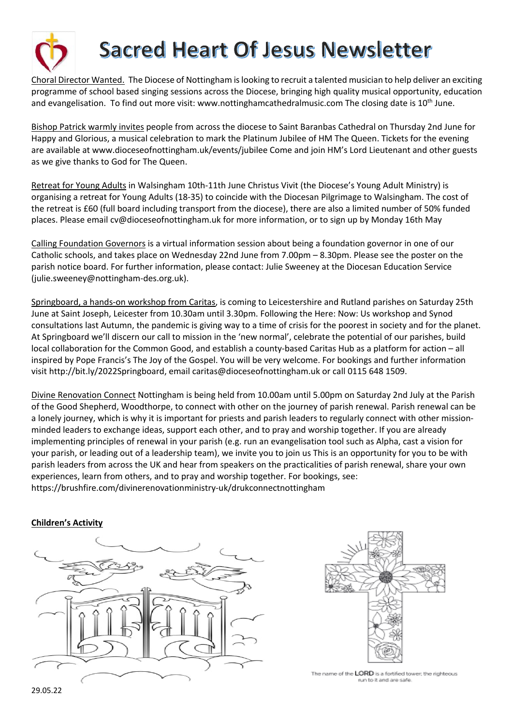

# **Sacred Heart Of Jesus Newsletter**

Choral Director Wanted. The Diocese of Nottingham is looking to recruit a talented musician to help deliver an exciting programme of school based singing sessions across the Diocese, bringing high quality musical opportunity, education and evangelisation. To find out more visit: www.nottinghamcathedralmusic.com The closing date is 10<sup>th</sup> June.

Bishop Patrick warmly invites people from across the diocese to Saint Baranbas Cathedral on Thursday 2nd June for Happy and Glorious, a musical celebration to mark the Platinum Jubilee of HM The Queen. Tickets for the evening are available at www.dioceseofnottingham.uk/events/jubilee Come and join HM's Lord Lieutenant and other guests as we give thanks to God for The Queen.

Retreat for Young Adults in Walsingham 10th-11th June Christus Vivit (the Diocese's Young Adult Ministry) is organising a retreat for Young Adults (18-35) to coincide with the Diocesan Pilgrimage to Walsingham. The cost of the retreat is £60 (full board including transport from the diocese), there are also a limited number of 50% funded places. Please email cv@dioceseofnottingham.uk for more information, or to sign up by Monday 16th May

Calling Foundation Governors is a virtual information session about being a foundation governor in one of our Catholic schools, and takes place on Wednesday 22nd June from 7.00pm – 8.30pm. Please see the poster on the parish notice board. For further information, please contact: Julie Sweeney at the Diocesan Education Service (julie.sweeney@nottingham-des.org.uk).

Springboard, a hands-on workshop from Caritas, is coming to Leicestershire and Rutland parishes on Saturday 25th June at Saint Joseph, Leicester from 10.30am until 3.30pm. Following the Here: Now: Us workshop and Synod consultations last Autumn, the pandemic is giving way to a time of crisis for the poorest in society and for the planet. At Springboard we'll discern our call to mission in the 'new normal', celebrate the potential of our parishes, build local collaboration for the Common Good, and establish a county-based Caritas Hub as a platform for action – all inspired by Pope Francis's The Joy of the Gospel. You will be very welcome. For bookings and further information visit http://bit.ly/2022Springboard, email caritas@dioceseofnottingham.uk or call 0115 648 1509.

Divine Renovation Connect Nottingham is being held from 10.00am until 5.00pm on Saturday 2nd July at the Parish of the Good Shepherd, Woodthorpe, to connect with other on the journey of parish renewal. Parish renewal can be a lonely journey, which is why it is important for priests and parish leaders to regularly connect with other missionminded leaders to exchange ideas, support each other, and to pray and worship together. If you are already implementing principles of renewal in your parish (e.g. run an evangelisation tool such as Alpha, cast a vision for your parish, or leading out of a leadership team), we invite you to join us This is an opportunity for you to be with parish leaders from across the UK and hear from speakers on the practicalities of parish renewal, share your own experiences, learn from others, and to pray and worship together. For bookings, see: https://brushfire.com/divinerenovationministry-uk/drukconnectnottingham

### **Children's Activity**





The name of the LORD is a fortified tower; the righteous run to it and are safe.